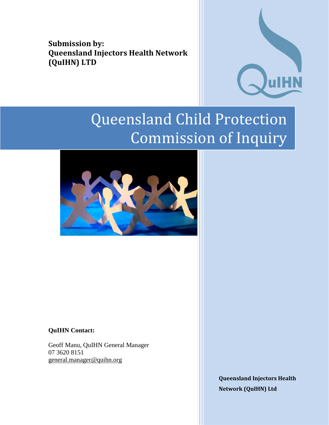**Submission by: Queensland Injectors Health Network (QuIHN) LTD**



# Queensland Child Protection Commission of Inquiry



**QuIHN Contact:**

Geoff Manu, QuIHN General Manager 07 3620 8151 [general.manager@quihn.org](mailto:general.manager@quihn.org)

> **Queensland Injectors Health Network (QuIHN) Ltd**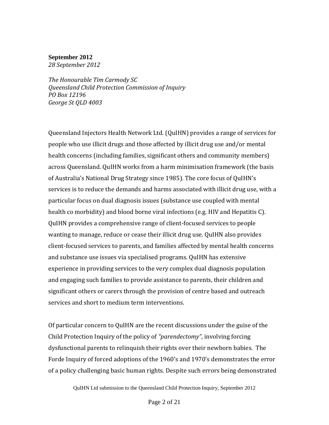#### **September 2012**

*28 September 2012*

*The Honourable Tim Carmody SC Queensland Child Protection Commission of Inquiry PO Box 12196 George St QLD 4003*

Queensland Injectors Health Network Ltd. (QuIHN) provides a range of services for people who use illicit drugs and those affected by illicit drug use and/or mental health concerns (including families, significant others and community members) across Queensland. QuIHN works from a harm minimisation framework (the basis of Australia's National Drug Strategy since 1985). The core focus of QuIHN's services is to reduce the demands and harms associated with illicit drug use, with a particular focus on dual diagnosis issues (substance use coupled with mental health co morbidity) and blood borne viral infections (e.g. HIV and Hepatitis C). QuIHN provides a comprehensive range of client-focused services to people wanting to manage, reduce or cease their illicit drug use. QuIHN also provides client-focused services to parents, and families affected by mental health concerns and substance use issues via specialised programs. QuIHN has extensive experience in providing services to the very complex dual diagnosis population and engaging such families to provide assistance to parents, their children and significant others or carers through the provision of centre based and outreach services and short to medium term interventions.

Of particular concern to QuIHN are the recent discussions under the guise of the Child Protection Inquiry of the policy of *"parendectomy",* involving forcing dysfunctional parents to relinquish their rights over their newborn babies. The Forde Inquiry of forced adoptions of the 1960's and 1970's demonstrates the error of a policy challenging basic human rights. Despite such errors being demonstrated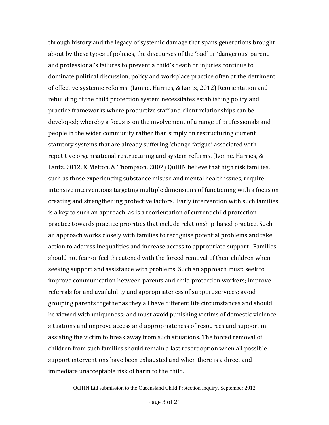through history and the legacy of systemic damage that spans generations brought about by these types of policies, the discourses of the 'bad' or 'dangerous' parent and professional's failures to prevent a child's death or injuries continue to dominate political discussion, policy and workplace practice often at the detriment of effective systemic reforms. (Lonne, Harries, & Lantz, 2012) Reorientation and rebuilding of the child protection system necessitates establishing policy and practice frameworks where productive staff and client relationships can be developed; whereby a focus is on the involvement of a range of professionals and people in the wider community rather than simply on restructuring current statutory systems that are already suffering 'change fatigue' associated with repetitive organisational restructuring and system reforms. (Lonne, Harries, & Lantz, 2012. & Melton, & Thompson, 2002) QuIHN believe that high risk families, such as those experiencing substance misuse and mental health issues, require intensive interventions targeting multiple dimensions of functioning with a focus on creating and strengthening protective factors. Early intervention with such families is a key to such an approach, as is a reorientation of current child protection practice towards practice priorities that include relationship-based practice. Such an approach works closely with families to recognise potential problems and take action to address inequalities and increase access to appropriate support. Families should not fear or feel threatened with the forced removal of their children when seeking support and assistance with problems. Such an approach must: seek to improve communication between parents and child protection workers; improve referrals for and availability and appropriateness of support services; avoid grouping parents together as they all have different life circumstances and should be viewed with uniqueness; and must avoid punishing victims of domestic violence situations and improve access and appropriateness of resources and support in assisting the victim to break away from such situations. The forced removal of children from such families should remain a last resort option when all possible support interventions have been exhausted and when there is a direct and immediate unacceptable risk of harm to the child.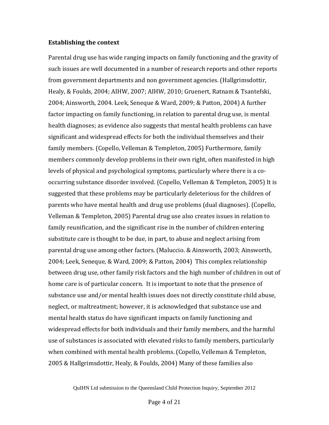#### **Establishing the context**

Parental drug use has wide ranging impacts on family functioning and the gravity of such issues are well documented in a number of research reports and other reports from government departments and non government agencies. (Hallgrimsdottir, Healy, & Foulds, 2004; AIHW, 2007; AIHW, 2010; Gruenert, Ratnam & Tsantefski, 2004; Ainsworth, 2004. Leek, Seneque & Ward, 2009; & Patton, 2004) A further factor impacting on family functioning, in relation to parental drug use, is mental health diagnoses; as evidence also suggests that mental health problems can have significant and widespread effects for both the individual themselves and their family members. (Copello, Velleman & Templeton, 2005) Furthermore, family members commonly develop problems in their own right, often manifested in high levels of physical and psychological symptoms, particularly where there is a cooccurring substance disorder involved. (Copello, Velleman & Templeton, 2005) It is suggested that these problems may be particularly deleterious for the children of parents who have mental health and drug use problems (dual diagnoses). (Copello, Velleman & Templeton, 2005) Parental drug use also creates issues in relation to family reunification, and the significant rise in the number of children entering substitute care is thought to be due, in part, to abuse and neglect arising from parental drug use among other factors. (Maluccio. & Ainsworth, 2003; Ainsworth, 2004; Leek, Seneque, & Ward, 2009; & Patton, 2004) This complex relationship between drug use, other family risk factors and the high number of children in out of home care is of particular concern. It is important to note that the presence of substance use and/or mental health issues does not directly constitute child abuse, neglect, or maltreatment; however, it is acknowledged that substance use and mental health status do have significant impacts on family functioning and widespread effects for both individuals and their family members, and the harmful use of substances is associated with elevated risks to family members, particularly when combined with mental health problems. (Copello, Velleman & Templeton, 2005 & Hallgrimsdottir, Healy, & Foulds, 2004) Many of these families also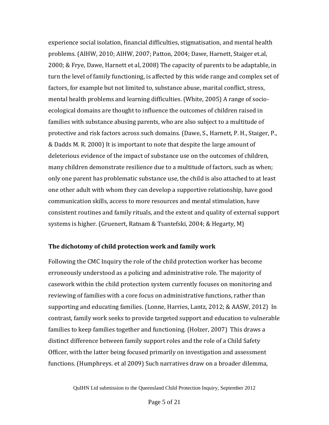experience social isolation, financial difficulties, stigmatisation, and mental health problems. (AIHW, 2010; AIHW, 2007; Patton, 2004; Dawe, Harnett, Staiger et.al, 2000; & Frye, Dawe, Harnett et al, 2008) The capacity of parents to be adaptable, in turn the level of family functioning, is affected by this wide range and complex set of factors, for example but not limited to, substance abuse, marital conflict, stress, mental health problems and learning difficulties. (White, 2005) A range of socioecological domains are thought to influence the outcomes of children raised in families with substance abusing parents, who are also subject to a multitude of protective and risk factors across such domains. (Dawe, S., Harnett, P. H., Staiger, P., & Dadds M. R. 2000) It is important to note that despite the large amount of deleterious evidence of the impact of substance use on the outcomes of children, many children demonstrate resilience due to a multitude of factors, such as when; only one parent has problematic substance use, the child is also attached to at least one other adult with whom they can develop a supportive relationship, have good communication skills, access to more resources and mental stimulation, have consistent routines and family rituals, and the extent and quality of external support systems is higher. (Gruenert, Ratnam & Tsantefski, 2004; & Hegarty, M)

#### **The dichotomy of child protection work and family work**

Following the CMC Inquiry the role of the child protection worker has become erroneously understood as a policing and administrative role. The majority of casework within the child protection system currently focuses on monitoring and reviewing of families with a core focus on administrative functions, rather than supporting and educating families. (Lonne, Harries, Lantz, 2012; & AASW, 2012) In contrast, family work seeks to provide targeted support and education to vulnerable families to keep families together and functioning. (Holzer, 2007) This draws a distinct difference between family support roles and the role of a Child Safety Officer, with the latter being focused primarily on investigation and assessment functions. (Humphreys. et al 2009) Such narratives draw on a broader dilemma,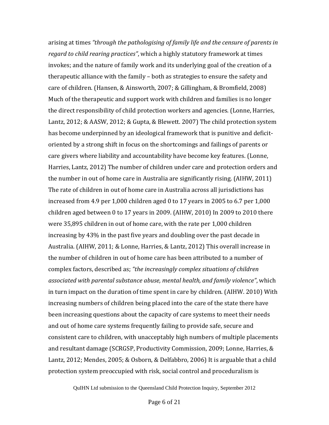arising at times *"through the pathologising of family life and the censure of parents in regard to child rearing practices"*, which a highly statutory framework at times invokes; and the nature of family work and its underlying goal of the creation of a therapeutic alliance with the family – both as strategies to ensure the safety and care of children. (Hansen, & Ainsworth, 2007; & Gillingham, & Bromfield, 2008) Much of the therapeutic and support work with children and families is no longer the direct responsibility of child protection workers and agencies. (Lonne, Harries, Lantz, 2012; & AASW, 2012; & Gupta, & Blewett. 2007) The child protection system has become underpinned by an ideological framework that is punitive and deficitoriented by a strong shift in focus on the shortcomings and failings of parents or care givers where liability and accountability have become key features. (Lonne, Harries, Lantz, 2012) The number of children under care and protection orders and the number in out of home care in Australia are significantly rising. (AIHW, 2011) The rate of children in out of home care in Australia across all jurisdictions has increased from 4.9 per 1,000 children aged 0 to 17 years in 2005 to 6.7 per 1,000 children aged between 0 to 17 years in 2009. (AIHW, 2010) In 2009 to 2010 there were 35,895 children in out of home care, with the rate per 1,000 children increasing by 43% in the past five years and doubling over the past decade in Australia. (AIHW, 2011; & Lonne, Harries, & Lantz, 2012) This overall increase in the number of children in out of home care has been attributed to a number of complex factors, described as; *"the increasingly complex situations of children associated with parental substance abuse, mental health, and family violence"*, which in turn impact on the duration of time spent in care by children. (AIHW. 2010) With increasing numbers of children being placed into the care of the state there have been increasing questions about the capacity of care systems to meet their needs and out of home care systems frequently failing to provide safe, secure and consistent care to children, with unacceptably high numbers of multiple placements and resultant damage (SCRGSP, Productivity Commission, 2009; Lonne, Harries, & Lantz, 2012; Mendes, 2005; & Osborn, & Delfabbro, 2006) It is arguable that a child protection system preoccupied with risk, social control and proceduralism is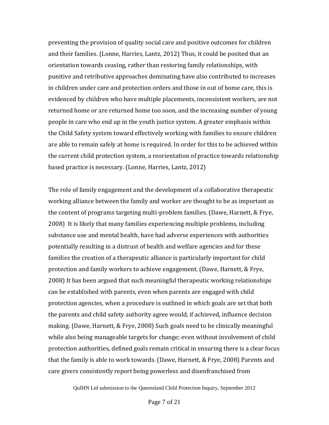preventing the provision of quality social care and positive outcomes for children and their families. (Lonne, Harries, Lantz, 2012) Thus, it could be posited that an orientation towards ceasing, rather than restoring family relationships, with punitive and retributive approaches dominating have also contributed to increases in children under care and protection orders and those in out of home care, this is evidenced by children who have multiple placements, inconsistent workers, are not returned home or are returned home too soon, and the increasing number of young people in care who end up in the youth justice system. A greater emphasis within the Child Safety system toward effectively working with families to ensure children are able to remain safely at home is required. In order for this to be achieved within the current child protection system, a reorientation of practice towards relationship based practice is necessary. (Lonne, Harries, Lantz, 2012)

The role of family engagement and the development of a collaborative therapeutic working alliance between the family and worker are thought to be as important as the content of programs targeting multi-problem families. (Dawe, Harnett, & Frye, 2008) It is likely that many families experiencing multiple problems, including substance use and mental health, have had adverse experiences with authorities potentially resulting in a distrust of health and welfare agencies and for these families the creation of a therapeutic alliance is particularly important for child protection and family workers to achieve engagement. (Dawe, Harnett, & Frye, 2008) It has been argued that such meaningful therapeutic working relationships can be established with parents, even when parents are engaged with child protection agencies, when a procedure is outlined in which goals are set that both the parents and child safety authority agree would, if achieved, influence decision making. (Dawe, Harnett, & Frye, 2008) Such goals need to be clinically meaningful while also being manageable targets for change; even without involvement of child protection authorities, defined goals remain critical in ensuring there is a clear focus that the family is able to work towards. (Dawe, Harnett, & Frye, 2008) Parents and care givers consistently report being powerless and disenfranchised from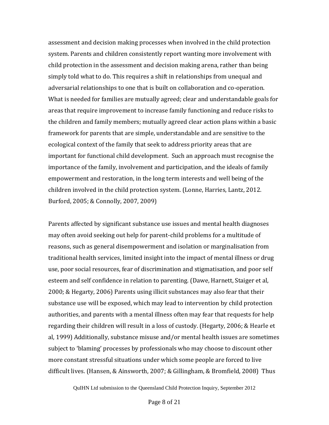assessment and decision making processes when involved in the child protection system. Parents and children consistently report wanting more involvement with child protection in the assessment and decision making arena, rather than being simply told what to do. This requires a shift in relationships from unequal and adversarial relationships to one that is built on collaboration and co-operation. What is needed for families are mutually agreed; clear and understandable goals for areas that require improvement to increase family functioning and reduce risks to the children and family members; mutually agreed clear action plans within a basic framework for parents that are simple, understandable and are sensitive to the ecological context of the family that seek to address priority areas that are important for functional child development. Such an approach must recognise the importance of the family, involvement and participation, and the ideals of family empowerment and restoration, in the long term interests and well being of the children involved in the child protection system. (Lonne, Harries, Lantz, 2012. Burford, 2005; & Connolly, 2007, 2009)

Parents affected by significant substance use issues and mental health diagnoses may often avoid seeking out help for parent-child problems for a multitude of reasons, such as general disempowerment and isolation or marginalisation from traditional health services, limited insight into the impact of mental illness or drug use, poor social resources, fear of discrimination and stigmatisation, and poor self esteem and self confidence in relation to parenting. (Dawe, Harnett, Staiger et al, 2000; & Hegarty, 2006) Parents using illicit substances may also fear that their substance use will be exposed, which may lead to intervention by child protection authorities, and parents with a mental illness often may fear that requests for help regarding their children will result in a loss of custody. (Hegarty, 2006; & Hearle et al, 1999) Additionally, substance misuse and/or mental health issues are sometimes subject to 'blaming' processes by professionals who may choose to discount other more constant stressful situations under which some people are forced to live difficult lives. (Hansen, & Ainsworth, 2007; & Gillingham, & Bromfield, 2008) Thus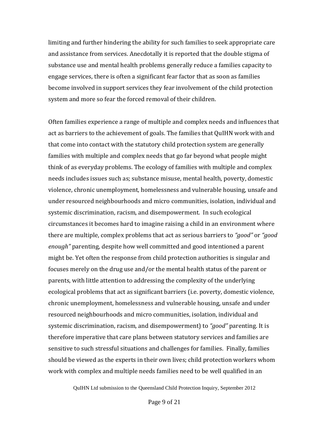limiting and further hindering the ability for such families to seek appropriate care and assistance from services. Anecdotally it is reported that the double stigma of substance use and mental health problems generally reduce a families capacity to engage services, there is often a significant fear factor that as soon as families become involved in support services they fear involvement of the child protection system and more so fear the forced removal of their children.

Often families experience a range of multiple and complex needs and influences that act as barriers to the achievement of goals. The families that QuIHN work with and that come into contact with the statutory child protection system are generally families with multiple and complex needs that go far beyond what people might think of as everyday problems. The ecology of families with multiple and complex needs includes issues such as; substance misuse, mental health, poverty, domestic violence, chronic unemployment, homelessness and vulnerable housing, unsafe and under resourced neighbourhoods and micro communities, isolation, individual and systemic discrimination, racism, and disempowerment. In such ecological circumstances it becomes hard to imagine raising a child in an environment where there are multiple, complex problems that act as serious barriers to *"good"* or *"good enough"* parenting, despite how well committed and good intentioned a parent might be. Yet often the response from child protection authorities is singular and focuses merely on the drug use and/or the mental health status of the parent or parents, with little attention to addressing the complexity of the underlying ecological problems that act as significant barriers (i.e. poverty, domestic violence, chronic unemployment, homelessness and vulnerable housing, unsafe and under resourced neighbourhoods and micro communities, isolation, individual and systemic discrimination, racism, and disempowerment) to *"good"* parenting. It is therefore imperative that care plans between statutory services and families are sensitive to such stressful situations and challenges for families. Finally, families should be viewed as the experts in their own lives; child protection workers whom work with complex and multiple needs families need to be well qualified in an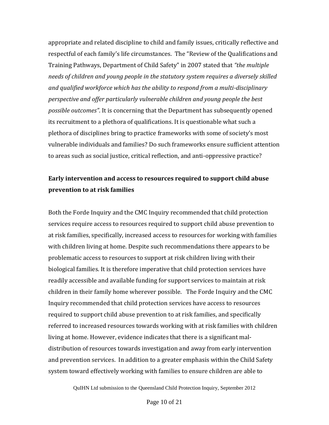appropriate and related discipline to child and family issues, critically reflective and respectful of each family's life circumstances. The "Review of the Qualifications and Training Pathways, Department of Child Safety" in 2007 stated that *"the multiple needs of children and young people in the statutory system requires a diversely skilled and qualified workforce which has the ability to respond from a multi-disciplinary perspective and offer particularly vulnerable children and young people the best possible outcomes"*. It is concerning that the Department has subsequently opened its recruitment to a plethora of qualifications. It is questionable what such a plethora of disciplines bring to practice frameworks with some of society's most vulnerable individuals and families? Do such frameworks ensure sufficient attention to areas such as social justice, critical reflection, and anti-oppressive practice?

## **Early intervention and access to resources required to support child abuse prevention to at risk families**

Both the Forde Inquiry and the CMC Inquiry recommended that child protection services require access to resources required to support child abuse prevention to at risk families, specifically, increased access to resources for working with families with children living at home. Despite such recommendations there appears to be problematic access to resources to support at risk children living with their biological families. It is therefore imperative that child protection services have readily accessible and available funding for support services to maintain at risk children in their family home wherever possible. The Forde Inquiry and the CMC Inquiry recommended that child protection services have access to resources required to support child abuse prevention to at risk families, and specifically referred to increased resources towards working with at risk families with children living at home. However, evidence indicates that there is a significant maldistribution of resources towards investigation and away from early intervention and prevention services. In addition to a greater emphasis within the Child Safety system toward effectively working with families to ensure children are able to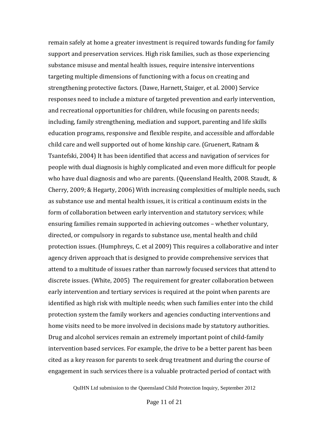remain safely at home a greater investment is required towards funding for family support and preservation services. High risk families, such as those experiencing substance misuse and mental health issues, require intensive interventions targeting multiple dimensions of functioning with a focus on creating and strengthening protective factors. (Dawe, Harnett, Staiger, et al. 2000) Service responses need to include a mixture of targeted prevention and early intervention, and recreational opportunities for children, while focusing on parents needs; including, family strengthening, mediation and support, parenting and life skills education programs, responsive and flexible respite, and accessible and affordable child care and well supported out of home kinship care. (Gruenert, Ratnam & Tsantefski, 2004) It has been identified that access and navigation of services for people with dual diagnosis is highly complicated and even more difficult for people who have dual diagnosis and who are parents. (Queensland Health, 2008. Staudt, & Cherry, 2009; & Hegarty, 2006) With increasing complexities of multiple needs, such as substance use and mental health issues, it is critical a continuum exists in the form of collaboration between early intervention and statutory services; while ensuring families remain supported in achieving outcomes – whether voluntary, directed, or compulsory in regards to substance use, mental health and child protection issues. (Humphreys, C. et al 2009) This requires a collaborative and inter agency driven approach that is designed to provide comprehensive services that attend to a multitude of issues rather than narrowly focused services that attend to discrete issues. (White, 2005) The requirement for greater collaboration between early intervention and tertiary services is required at the point when parents are identified as high risk with multiple needs; when such families enter into the child protection system the family workers and agencies conducting interventions and home visits need to be more involved in decisions made by statutory authorities. Drug and alcohol services remain an extremely important point of child-family intervention based services. For example, the drive to be a better parent has been cited as a key reason for parents to seek drug treatment and during the course of engagement in such services there is a valuable protracted period of contact with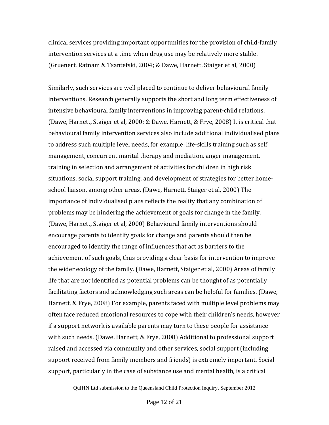clinical services providing important opportunities for the provision of child-family intervention services at a time when drug use may be relatively more stable. (Gruenert, Ratnam & Tsantefski, 2004; & Dawe, Harnett, Staiger et al, 2000)

Similarly, such services are well placed to continue to deliver behavioural family interventions. Research generally supports the short and long term effectiveness of intensive behavioural family interventions in improving parent-child relations. (Dawe, Harnett, Staiger et al, 2000; & Dawe, Harnett, & Frye, 2008) It is critical that behavioural family intervention services also include additional individualised plans to address such multiple level needs, for example; life-skills training such as self management, concurrent marital therapy and mediation, anger management, training in selection and arrangement of activities for children in high risk situations, social support training, and development of strategies for better homeschool liaison, among other areas. (Dawe, Harnett, Staiger et al, 2000) The importance of individualised plans reflects the reality that any combination of problems may be hindering the achievement of goals for change in the family. (Dawe, Harnett, Staiger et al, 2000) Behavioural family interventions should encourage parents to identify goals for change and parents should then be encouraged to identify the range of influences that act as barriers to the achievement of such goals, thus providing a clear basis for intervention to improve the wider ecology of the family. (Dawe, Harnett, Staiger et al, 2000) Areas of family life that are not identified as potential problems can be thought of as potentially facilitating factors and acknowledging such areas can be helpful for families. (Dawe, Harnett, & Frye, 2008) For example, parents faced with multiple level problems may often face reduced emotional resources to cope with their children's needs, however if a support network is available parents may turn to these people for assistance with such needs. (Dawe, Harnett, & Frye, 2008) Additional to professional support raised and accessed via community and other services, social support (including support received from family members and friends) is extremely important. Social support, particularly in the case of substance use and mental health, is a critical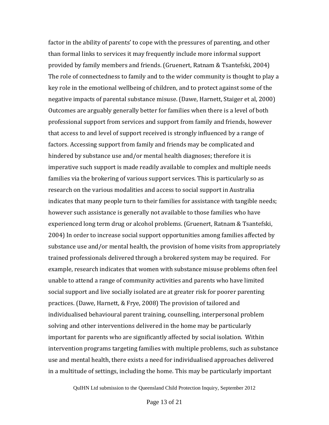factor in the ability of parents' to cope with the pressures of parenting, and other than formal links to services it may frequently include more informal support provided by family members and friends. (Gruenert, Ratnam & Tsantefski, 2004) The role of connectedness to family and to the wider community is thought to play a key role in the emotional wellbeing of children, and to protect against some of the negative impacts of parental substance misuse. (Dawe, Harnett, Staiger et al, 2000) Outcomes are arguably generally better for families when there is a level of both professional support from services and support from family and friends, however that access to and level of support received is strongly influenced by a range of factors. Accessing support from family and friends may be complicated and hindered by substance use and/or mental health diagnoses; therefore it is imperative such support is made readily available to complex and multiple needs families via the brokering of various support services. This is particularly so as research on the various modalities and access to social support in Australia indicates that many people turn to their families for assistance with tangible needs; however such assistance is generally not available to those families who have experienced long term drug or alcohol problems. (Gruenert, Ratnam & Tsantefski, 2004) In order to increase social support opportunities among families affected by substance use and/or mental health, the provision of home visits from appropriately trained professionals delivered through a brokered system may be required. For example, research indicates that women with substance misuse problems often feel unable to attend a range of community activities and parents who have limited social support and live socially isolated are at greater risk for poorer parenting practices. (Dawe, Harnett, & Frye, 2008) The provision of tailored and individualised behavioural parent training, counselling, interpersonal problem solving and other interventions delivered in the home may be particularly important for parents who are significantly affected by social isolation. Within intervention programs targeting families with multiple problems, such as substance use and mental health, there exists a need for individualised approaches delivered in a multitude of settings, including the home. This may be particularly important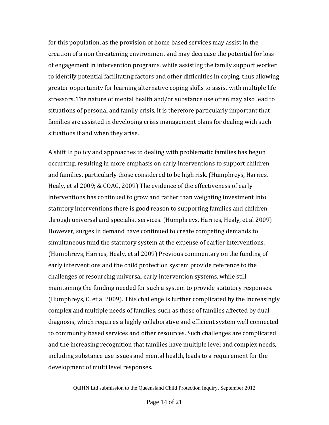for this population, as the provision of home based services may assist in the creation of a non threatening environment and may decrease the potential for loss of engagement in intervention programs, while assisting the family support worker to identify potential facilitating factors and other difficulties in coping, thus allowing greater opportunity for learning alternative coping skills to assist with multiple life stressors. The nature of mental health and/or substance use often may also lead to situations of personal and family crisis, it is therefore particularly important that families are assisted in developing crisis management plans for dealing with such situations if and when they arise.

A shift in policy and approaches to dealing with problematic families has begun occurring, resulting in more emphasis on early interventions to support children and families, particularly those considered to be high risk. (Humphreys, Harries, Healy, et al 2009; & COAG, 2009) The evidence of the effectiveness of early interventions has continued to grow and rather than weighting investment into statutory interventions there is good reason to supporting families and children through universal and specialist services. (Humphreys, Harries, Healy, et al 2009) However, surges in demand have continued to create competing demands to simultaneous fund the statutory system at the expense of earlier interventions. (Humphreys, Harries, Healy, et al 2009) Previous commentary on the funding of early interventions and the child protection system provide reference to the challenges of resourcing universal early intervention systems, while still maintaining the funding needed for such a system to provide statutory responses. (Humphreys, C. et al 2009). This challenge is further complicated by the increasingly complex and multiple needs of families, such as those of families affected by dual diagnosis, which requires a highly collaborative and efficient system well connected to community based services and other resources. Such challenges are complicated and the increasing recognition that families have multiple level and complex needs, including substance use issues and mental health, leads to a requirement for the development of multi level responses.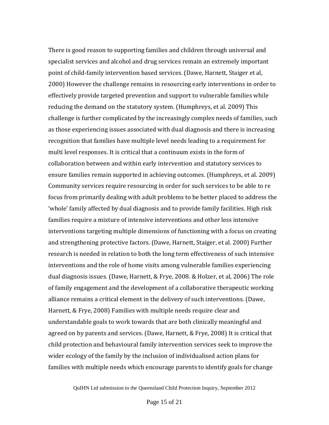There is good reason to supporting families and children through universal and specialist services and alcohol and drug services remain an extremely important point of child-family intervention based services. (Dawe, Harnett, Staiger et al, 2000) However the challenge remains in resourcing early interventions in order to effectively provide targeted prevention and support to vulnerable families while reducing the demand on the statutory system. (Humphreys, et al. 2009) This challenge is further complicated by the increasingly complex needs of families, such as those experiencing issues associated with dual diagnosis and there is increasing recognition that families have multiple level needs leading to a requirement for multi level responses. It is critical that a continuum exists in the form of collaboration between and within early intervention and statutory services to ensure families remain supported in achieving outcomes. (Humphreys, et al. 2009) Community services require resourcing in order for such services to be able to re focus from primarily dealing with adult problems to be better placed to address the 'whole' family affected by dual diagnosis and to provide family facilities. High risk families require a mixture of intensive interventions and other less intensive interventions targeting multiple dimensions of functioning with a focus on creating and strengthening protective factors. (Dawe, Harnett, Staiger, et al. 2000) Further research is needed in relation to both the long term effectiveness of such intensive interventions and the role of home visits among vulnerable families experiencing dual diagnosis issues. (Dawe, Harnett, & Frye, 2008. & Holzer, et al, 2006) The role of family engagement and the development of a collaborative therapeutic working alliance remains a critical element in the delivery of such interventions. (Dawe, Harnett, & Frye, 2008) Families with multiple needs require clear and understandable goals to work towards that are both clinically meaningful and agreed on by parents and services. (Dawe, Harnett, & Frye, 2008) It is critical that child protection and behavioural family intervention services seek to improve the wider ecology of the family by the inclusion of individualised action plans for families with multiple needs which encourage parents to identify goals for change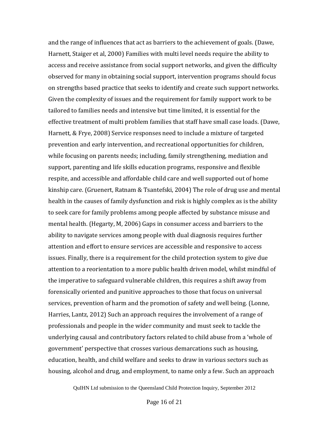and the range of influences that act as barriers to the achievement of goals. (Dawe, Harnett, Staiger et al, 2000) Families with multi level needs require the ability to access and receive assistance from social support networks, and given the difficulty observed for many in obtaining social support, intervention programs should focus on strengths based practice that seeks to identify and create such support networks. Given the complexity of issues and the requirement for family support work to be tailored to families needs and intensive but time limited, it is essential for the effective treatment of multi problem families that staff have small case loads. (Dawe, Harnett, & Frye, 2008) Service responses need to include a mixture of targeted prevention and early intervention, and recreational opportunities for children, while focusing on parents needs; including, family strengthening, mediation and support, parenting and life skills education programs, responsive and flexible respite, and accessible and affordable child care and well supported out of home kinship care. (Gruenert, Ratnam & Tsantefski, 2004) The role of drug use and mental health in the causes of family dysfunction and risk is highly complex as is the ability to seek care for family problems among people affected by substance misuse and mental health. (Hegarty, M, 2006) Gaps in consumer access and barriers to the ability to navigate services among people with dual diagnosis requires further attention and effort to ensure services are accessible and responsive to access issues. Finally, there is a requirement for the child protection system to give due attention to a reorientation to a more public health driven model, whilst mindful of the imperative to safeguard vulnerable children, this requires a shift away from forensically oriented and punitive approaches to those that focus on universal services, prevention of harm and the promotion of safety and well being. (Lonne, Harries, Lantz, 2012) Such an approach requires the involvement of a range of professionals and people in the wider community and must seek to tackle the underlying causal and contributory factors related to child abuse from a 'whole of government' perspective that crosses various demarcations such as housing, education, health, and child welfare and seeks to draw in various sectors such as housing, alcohol and drug, and employment, to name only a few. Such an approach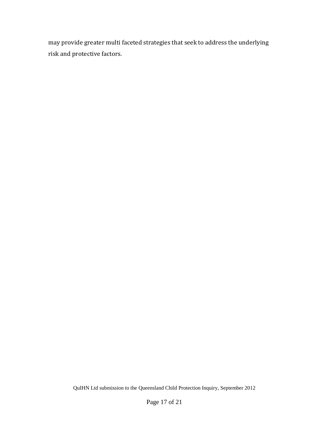may provide greater multi faceted strategies that seek to address the underlying risk and protective factors.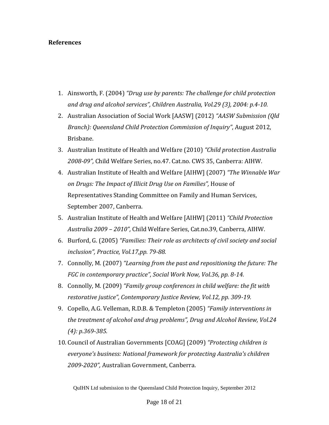### **References**

- 1. Ainsworth, F. (2004) *"Drug use by parents: The challenge for child protection and drug and alcohol services", Children Australia, Vol.29 (3), 2004: p.4-10.*
- 2. Australian Association of Social Work [AASW] (2012) *"AASW Submission (Qld Branch): Queensland Child Protection Commission of Inquiry"*, August 2012, Brisbane.
- 3. Australian Institute of Health and Welfare (2010) *"Child protection Australia 2008-09",* Child Welfare Series, no.47. Cat.no. CWS 35, Canberra: AIHW.
- 4. Australian Institute of Health and Welfare [AIHW] (2007) *"The Winnable War on Drugs: The Impact of Illicit Drug Use on Families",* House of Representatives Standing Committee on Family and Human Services, September 2007, Canberra.
- 5. Australian Institute of Health and Welfare [AIHW] (2011) *"Child Protection Australia 2009 – 2010",* Child Welfare Series, Cat.no.39, Canberra, AIHW.
- 6. Burford, G. (2005) *"Families: Their role as architects of civil society and social inclusion", Practice, Vol.17,pp. 79-88.*
- 7. Connolly, M. (2007) *"Learning from the past and repositioning the future: The FGC in contemporary practice", Social Work Now, Vol.36, pp. 8-14.*
- 8. Connolly, M. (2009) *"Family group conferences in child welfare: the fit with restorative justice", Contemporary Justice Review, Vol.12, pp. 309-19.*
- 9. Copello, A.G. Velleman, R.D.B. & Templeton (2005) *"Family interventions in the treatment of alcohol and drug problems", Drug and Alcohol Review, Vol.24 (4): p.369-385.*
- 10. Council of Australian Governments [COAG] (2009) *"Protecting children is everyone's business: National framework for protecting Australia's children 2009-2020",* Australian Government, Canberra.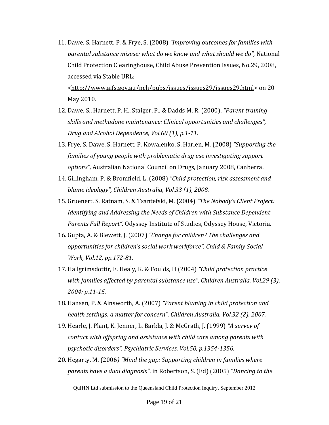11. Dawe, S. Harnett, P. & Frye, S. (2008) *"Improving outcomes for families with parental substance misuse: what do we know and what should we do",* National Child Protection Clearinghouse, Child Abuse Prevention Issues, No.29, 2008, accessed via Stable URL:

[<http://www.aifs.gov.au/nch/pubs/issues/issues29/issues29.html>](http://www.aifs.gov.au/nch/pubs/issues/issues29/issues29.html) on 20 May 2010.

- 12. Dawe, S., Harnett, P. H., Staiger, P., & Dadds M. R. (2000), *"Parent training skills and methadone maintenance: Clinical opportunities and challenges", Drug and Alcohol Dependence, Vol.60 (1), p.1-11.*
- 13. Frye, S. Dawe, S. Harnett, P. Kowalenko, S. Harlen, M. (2008) *"Supporting the families of young people with problematic drug use investigating support options",* Australian National Council on Drugs, January 2008, Canberra.
- 14. Gillingham, P. & Bromfield, L. (2008) *"Child protection, risk assessment and blame ideology", Children Australia, Vol.33 (1), 2008.*
- 15. Gruenert, S. Ratnam, S. & Tsantefski, M. (2004) *"The Nobody's Client Project: Identifying and Addressing the Needs of Children with Substance Dependent Parents Full Report",* Odyssey Institute of Studies, Odyssey House, Victoria.
- 16. Gupta, A. & Blewett, J. (2007) *"Change for children? The challenges and opportunities for children's social work workforce", Child & Family Social Work, Vol.12, pp.172-81.*
- 17. Hallgrimsdottir, E. Healy, K. & Foulds, H (2004) *"Child protection practice with families affected by parental substance use", Children Australia, Vol.29 (3), 2004: p.11-15.*
- 18. Hansen, P. & Ainsworth, A. (2007) *"Parent blaming in child protection and health settings: a matter for concern", Children Australia, Vol.32 (2), 2007.*
- 19. Hearle, J. Plant, K. Jenner, L. Barkla, J. & McGrath, J. (1999) *"A survey of contact with offspring and assistance with child care among parents with psychotic disorders", Psychiatric Services, Vol.50, p.1354-1356.*
- 20. Hegarty, M. (2006*) "Mind the gap: Supporting children in families where parents have a dual diagnosis"*, in Robertson, S. (Ed) (2005) *"Dancing to the*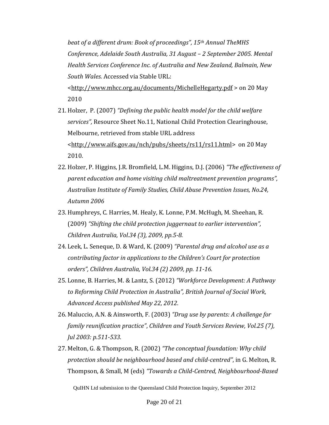*beat of a different drum: Book of proceedings", 15th Annual TheMHS Conference, Adelaide South Australia, 31 August – 2 September 2005. Mental Health Services Conference Inc. of Australia and New Zealand, Balmain, New South Wales.* Accessed via Stable URL:

[<http://www.mhcc.org.au/documents/MichelleHegarty.pdf](http://www.mhcc.org.au/documents/MichelleHegarty.pdf) > on 20 May 2010

- 21. Holzer, P. (2007) *"Defining the public health model for the child welfare services",* Resource Sheet No.11, National Child Protection Clearinghouse, Melbourne, retrieved from stable URL address [<http://www.aifs.gov.au/nch/pubs/sheets/rs11/rs11.html>](http://www.aifs.gov.au/nch/pubs/sheets/rs11/rs11.html) on 20 May 2010.
- 22. Holzer, P. Higgins, J.R. Bromfield, L.M. Higgins, D.J. (2006) *"The effectiveness of parent education and home visiting child maltreatment prevention programs", Australian Institute of Family Studies, Child Abuse Prevention Issues, No.24, Autumn 2006*
- 23. Humphreys, C. Harries, M. Healy, K. Lonne, P.M. McHugh, M. Sheehan, R. (2009) *"Shifting the child protection juggernaut to earlier intervention", Children Australia, Vol.34 (3), 2009, pp.5-8.*
- 24. Leek, L. Seneque, D. & Ward, K. (2009) *"Parental drug and alcohol use as a contributing factor in applications to the Children's Court for protection orders", Children Australia, Vol.34 (2) 2009, pp. 11-16.*
- 25. Lonne, B. Harries, M. & Lantz, S. (2012) *"Workforce Development: A Pathway to Reforming Child Protection in Australia", British Journal of Social Work, Advanced Access published May 22, 2012.*
- 26. Maluccio, A.N. & Ainsworth, F. (2003) *"Drug use by parents: A challenge for family reunification practice"*, *Children and Youth Services Review, Vol.25 (7), Jul 2003: p.511-533.*
- 27. Melton, G. & Thompson, R. (2002) *"The conceptual foundation: Why child protection should be neighbourhood based and child-centred"*, in G. Melton, R. Thompson, & Small, M (eds) *"Towards a Child-Centred, Neighbourhood-Based*